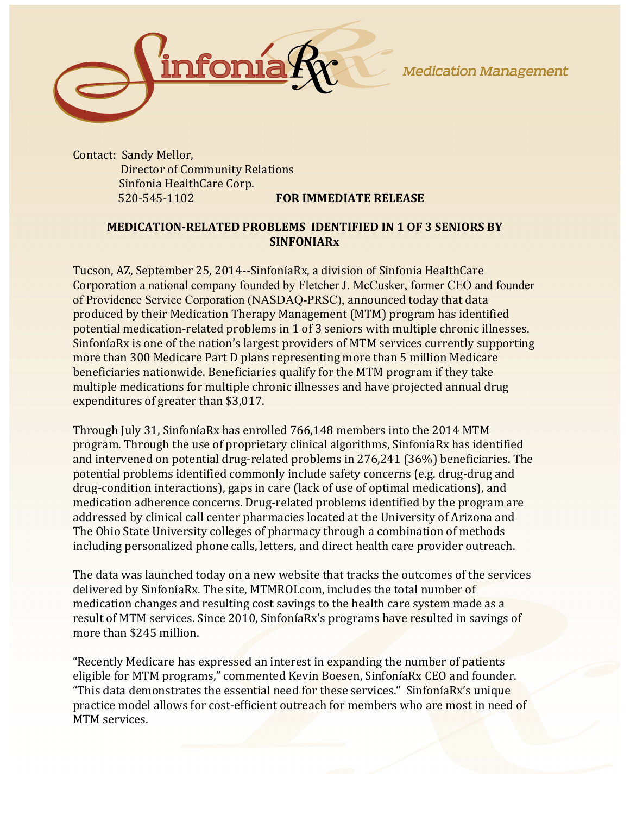**Medication Management** 



Contact: Sandy Mellor, **Director of Community Relations** Sinfonia HealthCare Corp. 520-545-1102 **FOR IMMEDIATE RELEASE** 

## **MEDICATION-RELATED PROBLEMS IDENTIFIED IN 1 OF 3 SENIORS BY SINFONIARx**

Tucson, AZ, September 25, 2014--SinfoníaRx, a division of Sinfonia HealthCare Corporation a national company founded by Fletcher J. McCusker, former CEO and founder of Providence Service Corporation (NASDAQ-PRSC), announced today that data produced by their Medication Therapy Management (MTM) program has identified potential medication-related problems in 1 of 3 seniors with multiple chronic illnesses. SinfoníaRx is one of the nation's largest providers of MTM services currently supporting more than 300 Medicare Part D plans representing more than 5 million Medicare beneficiaries nationwide. Beneficiaries qualify for the MTM program if they take multiple medications for multiple chronic illnesses and have projected annual drug expenditures of greater than \$3,017.

Through July 31, SinfoníaRx has enrolled 766,148 members into the 2014 MTM program. Through the use of proprietary clinical algorithms, SinfoníaRx has identified and intervened on potential drug-related problems in  $276,241$  (36%) beneficiaries. The potential problems identified commonly include safety concerns (e.g. drug-drug and drug-condition interactions), gaps in care (lack of use of optimal medications), and medication adherence concerns. Drug-related problems identified by the program are addressed by clinical call center pharmacies located at the University of Arizona and The Ohio State University colleges of pharmacy through a combination of methods including personalized phone calls, letters, and direct health care provider outreach.

The data was launched today on a new website that tracks the outcomes of the services delivered by SinfoníaRx. The site, MTMROI.com, includes the total number of medication changes and resulting cost savings to the health care system made as a result of MTM services. Since 2010, SinfoníaRx's programs have resulted in savings of more than \$245 million.

"Recently Medicare has expressed an interest in expanding the number of patients eligible for MTM programs," commented Kevin Boesen, SinfoníaRx CEO and founder. "This data demonstrates the essential need for these services." SinfoníaRx's unique practice model allows for cost-efficient outreach for members who are most in need of MTM services.